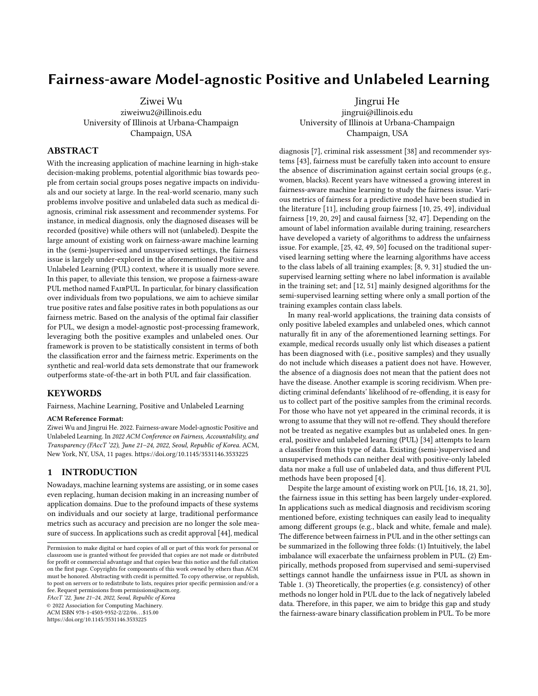# Fairness-aware Model-agnostic Positive and Unlabeled Learning

[Ziwei Wu](https://orcid.org/0000-0003-3999-4367)

ziweiwu2@illinois.edu University of Illinois at Urbana-Champaign Champaign, USA

[Jingrui He](https://orcid.org/0000-0002-6429-6272) jingrui@illinois.edu University of Illinois at Urbana-Champaign Champaign, USA

# ABSTRACT

With the increasing application of machine learning in high-stake decision-making problems, potential algorithmic bias towards people from certain social groups poses negative impacts on individuals and our society at large. In the real-world scenario, many such problems involve positive and unlabeled data such as medical diagnosis, criminal risk assessment and recommender systems. For instance, in medical diagnosis, only the diagnosed diseases will be recorded (positive) while others will not (unlabeled). Despite the large amount of existing work on fairness-aware machine learning in the (semi-)supervised and unsupervised settings, the fairness issue is largely under-explored in the aforementioned Positive and Unlabeled Learning (PUL) context, where it is usually more severe. In this paper, to alleviate this tension, we propose a fairness-aware PUL method named FairPUL. In particular, for binary classification over individuals from two populations, we aim to achieve similar true positive rates and false positive rates in both populations as our fairness metric. Based on the analysis of the optimal fair classifier for PUL, we design a model-agnostic post-processing framework, leveraging both the positive examples and unlabeled ones. Our framework is proven to be statistically consistent in terms of both the classification error and the fairness metric. Experiments on the synthetic and real-world data sets demonstrate that our framework outperforms state-of-the-art in both PUL and fair classification.

### KEYWORDS

Fairness, Machine Learning, Positive and Unlabeled Learning

### ACM Reference Format:

Ziwei Wu and Jingrui He. 2022. Fairness-aware Model-agnostic Positive and Unlabeled Learning. In 2022 ACM Conference on Fairness, Accountability, and Transparency (FAccT '22), June 21–24, 2022, Seoul, Republic of Korea. ACM, New York, NY, USA, [11](#page-10-0) pages.<https://doi.org/10.1145/3531146.3533225>

# 1 INTRODUCTION

Nowadays, machine learning systems are assisting, or in some cases even replacing, human decision making in an increasing number of application domains. Due to the profound impacts of these systems on individuals and our society at large, traditional performance metrics such as accuracy and precision are no longer the sole measure of success. In applications such as credit approval [\[44\]](#page-8-0), medical

FAccT '22, June 21–24, 2022, Seoul, Republic of Korea

© 2022 Association for Computing Machinery.

ACM ISBN 978-1-4503-9352-2/22/06. . . \$15.00

<https://doi.org/10.1145/3531146.3533225>

diagnosis [\[7\]](#page-7-0), criminal risk assessment [\[38\]](#page-8-1) and recommender systems [\[43\]](#page-8-2), fairness must be carefully taken into account to ensure the absence of discrimination against certain social groups (e.g., women, blacks). Recent years have witnessed a growing interest in fairness-aware machine learning to study the fairness issue. Various metrics of fairness for a predictive model have been studied in the literature [\[11\]](#page-7-1), including group fairness [\[10,](#page-7-2) [25,](#page-7-3) [49\]](#page-8-3), individual fairness [\[19,](#page-7-4) [20,](#page-7-5) [29\]](#page-7-6) and causal fairness [\[32,](#page-8-4) [47\]](#page-8-5). Depending on the amount of label information available during training, researchers have developed a variety of algorithms to address the unfairness issue. For example, [\[25,](#page-7-3) [42,](#page-8-6) [49,](#page-8-3) [50\]](#page-8-7) focused on the traditional supervised learning setting where the learning algorithms have access to the class labels of all training examples; [\[8,](#page-7-7) [9,](#page-7-8) [31\]](#page-7-9) studied the unsupervised learning setting where no label information is available in the training set; and [\[12,](#page-7-10) [51\]](#page-8-8) mainly designed algorithms for the semi-supervised learning setting where only a small portion of the training examples contain class labels.

In many real-world applications, the training data consists of only positive labeled examples and unlabeled ones, which cannot naturally fit in any of the aforementioned learning settings. For example, medical records usually only list which diseases a patient has been diagnosed with (i.e., positive samples) and they usually do not include which diseases a patient does not have. However, the absence of a diagnosis does not mean that the patient does not have the disease. Another example is scoring recidivism. When predicting criminal defendants' likelihood of re-offending, it is easy for us to collect part of the positive samples from the criminal records. For those who have not yet appeared in the criminal records, it is wrong to assume that they will not re-offend. They should therefore not be treated as negative examples but as unlabeled ones. In general, positive and unlabeled learning (PUL) [\[34\]](#page-8-9) attempts to learn a classifier from this type of data. Existing (semi-)supervised and unsupervised methods can neither deal with positive-only labeled data nor make a full use of unlabeled data, and thus different PUL methods have been proposed [\[4\]](#page-7-11).

Despite the large amount of existing work on PUL [\[16,](#page-7-12) [18,](#page-7-13) [21,](#page-7-14) [30\]](#page-7-15), the fairness issue in this setting has been largely under-explored. In applications such as medical diagnosis and recidivism scoring mentioned before, existing techniques can easily lead to inequality among different groups (e.g., black and white, female and male). The difference between fairness in PUL and in the other settings can be summarized in the following three folds: (1) Intuitively, the label imbalance will exacerbate the unfairness problem in PUL. (2) Empirically, methods proposed from supervised and semi-supervised settings cannot handle the unfairness issue in PUL as shown in Table [1.](#page-6-0) (3) Theoretically, the properties (e.g. consistency) of other methods no longer hold in PUL due to the lack of negatively labeled data. Therefore, in this paper, we aim to bridge this gap and study the fairness-aware binary classification problem in PUL. To be more

Permission to make digital or hard copies of all or part of this work for personal or classroom use is granted without fee provided that copies are not made or distributed for profit or commercial advantage and that copies bear this notice and the full citation on the first page. Copyrights for components of this work owned by others than ACM must be honored. Abstracting with credit is permitted. To copy otherwise, or republish, to post on servers or to redistribute to lists, requires prior specific permission and/or a fee. Request permissions from permissions@acm.org.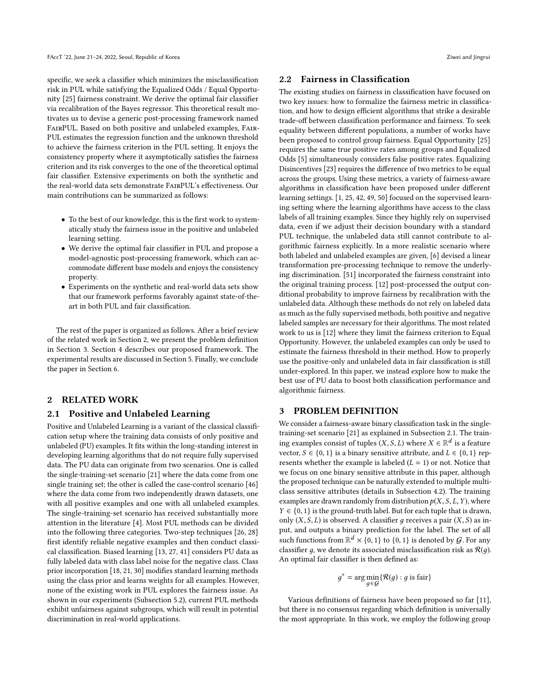specific, we seek a classifier which minimizes the misclassification risk in PUL while satisfying the Equalized Odds / Equal Opportunity [\[25\]](#page-7-3) fairness constraint. We derive the optimal fair classifier via recalibration of the Bayes regressor. This theoretical result motivates us to devise a generic post-processing framework named FairPUL. Based on both positive and unlabeled examples, Fair-PUL estimates the regression function and the unknown threshold to achieve the fairness criterion in the PUL setting. It enjoys the consistency property where it asymptotically satisfies the fairness criterion and its risk converges to the one of the theoretical optimal fair classifier. Extensive experiments on both the synthetic and the real-world data sets demonstrate FairPUL's effectiveness. Our main contributions can be summarized as follows:

- To the best of our knowledge, this is the first work to systematically study the fairness issue in the positive and unlabeled learning setting.
- We derive the optimal fair classifier in PUL and propose a model-agnostic post-processing framework, which can accommodate different base models and enjoys the consistency property.
- Experiments on the synthetic and real-world data sets show that our framework performs favorably against state-of-theart in both PUL and fair classification.

The rest of the paper is organized as follows. After a brief review of the related work in Section [2,](#page-1-0) we present the problem definition in Section [3.](#page-1-1) Section [4](#page-2-0) describes our proposed framework. The experimental results are discussed in Section [5.](#page-4-0) Finally, we conclude the paper in Section [6.](#page-7-16)

### <span id="page-1-0"></span>2 RELATED WORK

### <span id="page-1-2"></span>2.1 Positive and Unlabeled Learning

Positive and Unlabeled Learning is a variant of the classical classification setup where the training data consists of only positive and unlabeled (PU) examples. It fits within the long-standing interest in developing learning algorithms that do not require fully supervised data. The PU data can originate from two scenarios. One is called the single-training-set scenario [\[21\]](#page-7-14) where the data come from one single training set; the other is called the case-control scenario [\[46\]](#page-8-10) where the data come from two independently drawn datasets, one with all positive examples and one with all unlabeled examples. The single-training-set scenario has received substantially more attention in the literature [\[4\]](#page-7-11). Most PUL methods can be divided into the following three categories. Two-step techniques [\[26,](#page-7-17) [28\]](#page-7-18) first identify reliable negative examples and then conduct classical classification. Biased learning [\[13,](#page-7-19) [27,](#page-7-20) [41\]](#page-8-11) considers PU data as fully labeled data with class label noise for the negative class. Class prior incorporation [\[18,](#page-7-13) [21,](#page-7-14) [30\]](#page-7-15) modifies standard learning methods using the class prior and learns weights for all examples. However, none of the existing work in PUL explores the fairness issue. As shown in our experiments (Subsection [5.2\)](#page-4-1), current PUL methods exhibit unfairness against subgroups, which will result in potential discrimination in real-world applications.

### 2.2 Fairness in Classification

The existing studies on fairness in classification have focused on two key issues: how to formalize the fairness metric in classification, and how to design efficient algorithms that strike a desirable trade-off between classification performance and fairness. To seek equality between different populations, a number of works have been proposed to control group fairness. Equal Opportunity [\[25\]](#page-7-3) requires the same true positive rates among groups and Equalized Odds [\[5\]](#page-7-21) simultaneously considers false positive rates. Equalizing Disincentives [\[23\]](#page-7-22) requires the difference of two metrics to be equal across the groups. Using these metrics, a variety of fairness-aware algorithms in classification have been proposed under different learning settings. [\[1,](#page-7-23) [25,](#page-7-3) [42,](#page-8-6) [49,](#page-8-3) [50\]](#page-8-7) focused on the supervised learning setting where the learning algorithms have access to the class labels of all training examples. Since they highly rely on supervised data, even if we adjust their decision boundary with a standard PUL technique, the unlabeled data still cannot contribute to algorithmic fairness explicitly. In a more realistic scenario where both labeled and unlabeled examples are given, [\[6\]](#page-7-24) devised a linear transformation pre-processing technique to remove the underlying discrimination. [\[51\]](#page-8-8) incorporated the fairness constraint into the original training process. [\[12\]](#page-7-10) post-processed the output conditional probability to improve fairness by recalibration with the unlabeled data. Although these methods do not rely on labeled data as much as the fully supervised methods, both positive and negative labeled samples are necessary for their algorithms. The most related work to us is [\[12\]](#page-7-10) where they limit the fairness criterion to Equal Opportunity. However, the unlabeled examples can only be used to estimate the fairness threshold in their method. How to properly use the positive-only and unlabeled data in fair classification is still under-explored. In this paper, we instead explore how to make the best use of PU data to boost both classification performance and algorithmic fairness.

### <span id="page-1-1"></span>3 PROBLEM DEFINITION

We consider a fairness-aware binary classification task in the singletraining-set scenario [\[21\]](#page-7-14) as explained in Subsection [2.1.](#page-1-2) The training examples consist of tuples  $(X, S, L)$  where  $X \in \mathbb{R}^d$  is a feature<br>vector  $S \in \{0, 1\}$  is a binary sensitive attribute and  $L \in \{0, 1\}$  rep. vector,  $S \in \{0, 1\}$  is a binary sensitive attribute, and  $L \in \{0, 1\}$  represents whether the example is labeled  $(L = 1)$  or not. Notice that we focus on one binary sensitive attribute in this paper, although the proposed technique can be naturally extended to multiple multiclass sensitive attributes (details in Subsection [4.2\)](#page-2-1). The training examples are drawn randomly from distribution  $p(X, S, L, Y)$ , where  $Y \in \{0, 1\}$  is the ground-truth label. But for each tuple that is drawn, only  $(X, S, L)$  is observed. A classifier q receives a pair  $(X, S)$  as input, and outputs a binary prediction for the label. The set of all such functions from  $\mathbb{R}^d \times \{0, 1\}$  to  $\{0, 1\}$  is denoted by G. For any classifier a we denote its associated microssification risk as  $\mathcal{R}(a)$ classifier q, we denote its associated misclassification risk as  $\mathcal{R}(q)$ . An optimal fair classifier is then defined as:

$$
g^* = \arg\min_{g \in \mathcal{G}} \{ \mathcal{R}(g) : g \text{ is fair} \}
$$

Various definitions of fairness have been proposed so far [\[11\]](#page-7-1), but there is no consensus regarding which definition is universally the most appropriate. In this work, we employ the following group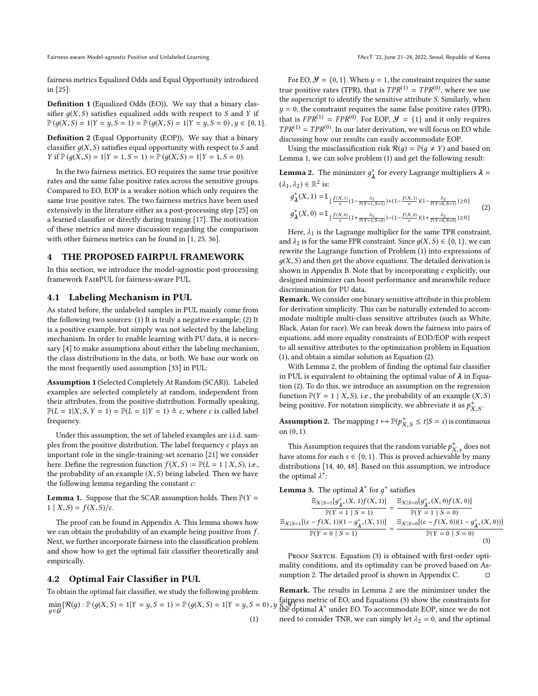Fairness-aware Model-agnostic Positive and Unlabeled Learning FACCT (22, June 21–24, 2022, Seoul, Republic of Korea

fairness metrics Equalized Odds and Equal Opportunity introduced in [\[25\]](#page-7-3):

Definition 1 (Equalized Odds (EO)). We say that a binary classifier  $q(X, S)$  satisfies equalized odds with respect to S and Y if  $\mathbb{P}(q(X, S) = 1 | Y = y, S = 1) = \mathbb{P}(q(X, S) = 1 | Y = y, S = 0), y \in \{0, 1\}.$ 

Definition 2 (Equal Opportunity (EOP)). We say that a binary classifier  $q(X, S)$  satisfies equal opportunity with respect to S and  $Y$  if  $\mathbb{P}(q(X, S) = 1 | Y = 1, S = 1) = \mathbb{P}(q(X, S) = 1 | Y = 1, S = 0).$ 

In the two fairness metrics, EO requires the same true positive rates and the same false positive rates across the sensitive groups. Compared to EO, EOP is a weaker notion which only requires the same true positive rates. The two fairness metrics have been used extensively in the literature either as a post-processing step [\[25\]](#page-7-3) on a learned classifier or directly during training [\[17\]](#page-7-25). The motivation of these metrics and more discussion regarding the comparison with other fairness metrics can be found in [\[1,](#page-7-23) [25,](#page-7-3) [36\]](#page-8-12).

#### <span id="page-2-0"></span>4 THE PROPOSED FAIRPUL FRAMEWORK

In this section, we introduce the model-agnostic post-processing framework FairPUL for fairness-aware PUL.

#### 4.1 Labeling Mechanism in PUL

As stated before, the unlabeled samples in PUL mainly come from the following two sources: (1) It is truly a negative example; (2) It is a positive example, but simply was not selected by the labeling mechanism. In order to enable learning with PU data, it is necessary [\[4\]](#page-7-11) to make assumptions about either the labeling mechanism, the class distributions in the data, or both. We base our work on the most frequently used assumption [\[33\]](#page-8-13) in PUL:

Assumption 1 (Selected Completely At Random (SCAR)). Labeled examples are selected completely at random, independent from their attributes, from the positive distribution. Formally speaking,  $\mathbb{P}(L = 1 | X, S, Y = 1) = \mathbb{P}(L = 1 | Y = 1) \triangleq c$ , where c is called label frequency.

Under this assumption, the set of labeled examples are i.i.d. samples from the positive distribution. The label frequency c plays an important role in the single-training-set scenario [\[21\]](#page-7-14) we consider here. Define the regression function  $f(X, S) := \mathbb{P}(L = 1 | X, S)$ , i.e., the probability of an example  $(X, S)$  being labeled. Then we have the following lemma regarding the constant c:

<span id="page-2-2"></span>**Lemma 1.** Suppose that the SCAR assumption holds. Then  $P(Y =$  $1 | X, S = f(X, S) / c.$ 

The proof can be found in Appendix [A.](#page-8-14) This lemma shows how we can obtain the probability of an example being positive from  $f$ . Next, we further incorporate fairness into the classification problem and show how to get the optimal fair classifier theoretically and empirically.

### <span id="page-2-1"></span>4.2 Optimal Fair Classifier in PUL

To obtain the optimal fair classifier, we study the following problem:

<span id="page-2-3"></span> $\min_{g \in G} \{ R(g) : \mathbb{P}(g(X, S) = 1 | Y = y, S = 1) = \mathbb{P}(g(X, S) = 1 | Y = y, S = 0), y \text{ and } \text{the of } g \in G\}$ д∈G (1)

For EO,  $\mathcal{Y} = \{0, 1\}$ . When  $y = 1$ , the constraint requires the same true positive rates (TPR), that is  $TPR^{(1)} = TPR^{(0)}$ , where we use<br>the superscript to identify the sensitive attribute S. Similarly, when the superscript to identify the sensitive attribute S. Similarly, when  $y = 0$ , the constraint requires the same false positive rates (FPR), that is  $FPR^{(1)} = FPR^{(0)}$ . For EOP,  $\mathcal{Y} = \{1\}$  and it only requires<br> $TPP^{(1)} = TPP^{(0)}$ . In our later derivation, we will focus on EQ while  $TPR^{(1)} = TPR^{(0)}$ . In our later derivation, we will focus on EO while<br>discussing how our results can easily accommodate EOP discussing how our results can easily accommodate EOP.

Using the misclassification risk  $\mathcal{R}(q) = \mathbb{P}(q \neq Y)$  and based on Lemma [1,](#page-2-2) we can solve problem [\(1\)](#page-2-3) and get the following result:

**Lemma 2.** The minimizer  $g^*_{\lambda}$  for every Lagrange multipliers  $\lambda = (1, 1) \in \mathbb{R}^2$ .  $(\lambda_1, \lambda_2) \in \mathbb{R}^2$  is:

<span id="page-2-4"></span>
$$
g_{\lambda}^{*}(X, 1) = \mathbb{I}_{\{\frac{f(X,1)}{c}(1-\frac{\lambda_{1}}{\mathbb{P}(Y=1, S=1)})+(1-\frac{f(X,1)}{c})(1-\frac{\lambda_{2}}{\mathbb{P}(Y=0, S=1)})\geq 0\}}\n g_{\lambda}^{*}(X, 0) = \mathbb{I}_{\{\frac{f(X,0)}{c}(1+\frac{\lambda_{1}}{\mathbb{P}(Y=1, S=0)})-(1-\frac{f(X,0)}{c})(1+\frac{\lambda_{2}}{\mathbb{P}(Y=0, S=0)})\geq 0\}}\n (2)
$$

Here,  $\lambda_1$  is the Lagrange multiplier for the same TPR constraint, and  $\lambda_2$  is for the same FPR constraint. Since  $g(X, S) \in \{0, 1\}$ , we can rewrite the Lagrange function of Problem [\(1\)](#page-2-3) into expressions of  $g(X, S)$  and then get the above equations. The detailed derivation is shown in Appendix [B.](#page-8-15) Note that by incorporating c explicitly, our designed minimizer can boost performance and meanwhile reduce discrimination for PU data.

Remark. We consider one binary sensitive attribute in this problem for derivation simplicity. This can be naturally extended to accommodate multiple multi-class sensitive attributes (such as White, Black, Asian for race). We can break down the fairness into pairs of equations, add more equality constraints of EOD/EOP with respect to all sensitive attributes to the optimization problem in Equation [\(1\)](#page-2-3), and obtain a similar solution as Equation [\(2\)](#page-2-4).

With Lemma [2,](#page-2-4) the problem of finding the optimal fair classifier in PUL is equivalent to obtaining the optimal value of  $\lambda$  in Equation [\(2\)](#page-2-4). To do this, we introduce an assumption on the regression function  $\mathbb{P}(Y = 1 | X, S)$ , i.e., the probability of an example  $(X, S)$ being positive. For notation simplicity, we abbreviate it as  $p_{X,S}^+$ .

<span id="page-2-6"></span>**Assumption 2.** The mapping  $t \mapsto \mathbb{P}(p_{X,S}^+ \le t | S = s)$  is continuous  $\mathcal{L}$ on (0, <sup>1</sup>).

 $\ddotsc$ 

This Assumption requires that the random variable  $p_{X,s}^{+}$  does not<br>the stame for seek a.C. (0, 1). This is preved ashievable by many have atoms for each  $s \in \{0, 1\}$ . This is proved achievable by many<br>distributions [14, 40, 48]. Based on this assumption, we introduce distributions [\[14,](#page-7-26) [40,](#page-8-16) [48\]](#page-8-17). Based on this assumption, we introduce the optimal  $\lambda^*$ :

**Lemma 3.** The optimal  $\lambda^*$  for  $g^*$  satisfies

<span id="page-2-5"></span>
$$
\frac{\mathbb{E}_{X|S=1}[g_{\lambda^*}^*(X,1)f(X,1)]}{\mathbb{P}(Y=1 | S=1)} = \frac{\mathbb{E}_{X|S=0}[g_{\lambda^*}^*(X,0)f(X,0)]}{\mathbb{P}(Y=1 | S=0)}
$$

$$
\frac{\mathbb{E}_{X|S=1}[(c-f(X,1))(1-g_{\lambda^*}^*(X,1))]}{\mathbb{P}(Y=0 | S=1)} = \frac{\mathbb{E}_{X|S=0}[(c-f(X,0))(1-g_{\lambda^*}^*(X,0))]}{\mathbb{P}(Y=0 | S=0)}
$$
(3)

PROOF SKETCH. Equation [\(3\)](#page-2-5) is obtained with first-order optimality conditions, and its optimality can be proved based on As-sumption [2.](#page-2-6) The detailed proof is shown in Appendix [C.](#page-9-0)  $□$ 

Remark. The results in Lemma 2 are the minimizer under the fairness metric of EO, and Equations [\(3\)](#page-2-5) show the constraints for  $\epsilon_{\text{optimal}}^*$  deptimal  $\lambda^*$  under EO. To accommodate EOP, since we do not need to consider TNR, we can simply let  $\lambda_2 = 0$ , and the optimal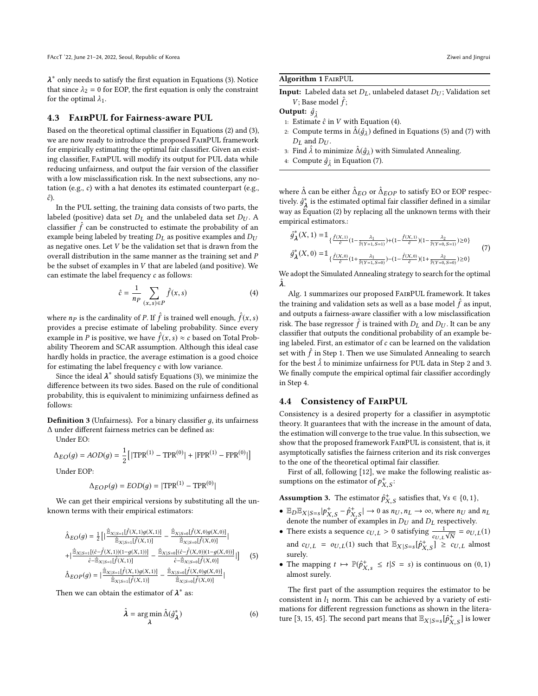$\frac{1}{2}$  that since  $\lambda_2 = 0$  for EOP, the first equation is only the constraint for the optimal  $\lambda_2$ . ∗ only needs to satisfy the first equation in Equations [\(3\)](#page-2-5). Notice for the optimal  $\lambda_1$ .

### 4.3 FairPUL for Fairness-aware PUL

Based on the theoretical optimal classifier in Equations [\(2\)](#page-2-4) and [\(3\)](#page-2-5), we are now ready to introduce the proposed FairPUL framework for empirically estimating the optimal fair classifier. Given an existing classifier, FairPUL will modify its output for PUL data while reducing unfairness, and output the fair version of the classifier with a low misclassification risk. In the next subsections, any notation (e.g., c) with a hat denotes its estimated counterpart (e.g.,  $\hat{c}$ ).

In the PUL setting, the training data consists of two parts, the labeled (positive) data set  $D_L$  and the unlabeled data set  $D_U$ . A classifier  $\hat{f}$  can be constructed to estimate the probability of an example being labeled by treating  $D_x$  as positive examples and  $D_y$ example being labeled by treating  $D_L$  as positive examples and  $D_U$ as negative ones. Let  $V$  be the validation set that is drawn from the overall distribution in the same manner as the training set and P be the subset of examples in V that are labeled (and positive). We can estimate the label frequency  $c$  as follows:

<span id="page-3-0"></span>
$$
\hat{c} = \frac{1}{np} \sum_{(x,s)\in P} \hat{f}(x,s) \tag{4}
$$

where  $n_p$  is the cardinality of P. If  $\hat{f}$  is trained well enough,  $\hat{f}(x, s)$ <br>provides a precise estimate of labeling probability. Since every provides a precise estimate of labeling probability. Since every example in P is positive, we have  $\hat{f}(x, s) \approx c$  based on Total Prob-<br>ability Theorem and SCAR assumption. Although this ideal case ability Theorem and SCAR assumption. Although this ideal case hardly holds in practice, the average estimation is a good choice for estimating the label frequency c with low variance.

Since the ideal  $\lambda^*$  should satisfy Equations [\(3\)](#page-2-5), we minimize the ference between its two sides. Based on the rule of conditional difference between its two sides. Based on the rule of conditional probability, this is equivalent to minimizing unfairness defined as follows:

**Definition 3** (Unfairness). For a binary classifier  $q$ , its unfairness ∆ under different fairness metrics can be defined as:

Under EO:

$$
\Delta_{EO}(g) = AOD(g) = \frac{1}{2} [|\text{TPR}^{(1)} - \text{TPR}^{(0)}| + |\text{FPR}^{(1)} - \text{FPR}^{(0)}|]
$$
  
Under EOP:

$$
\Delta_{EOP}(g) = EOD(g) = |\text{TPR}^{(1)} - \text{TPR}^{(0)}|
$$

We can get their empirical versions by substituting all the unknown terms with their empirical estimators:

<span id="page-3-1"></span>
$$
\hat{\Delta}_{EO}(g) = \frac{1}{2} \Big[ |\frac{\hat{\mathbb{E}}_{X|S=1}[\hat{f}(X,1)g(X,1)]}{\hat{\mathbb{E}}_{X|S=1}[\hat{f}(X,1)]} - \frac{\hat{\mathbb{E}}_{X|S=0}[\hat{f}(X,0)g(X,0)]}{\hat{\mathbb{E}}_{X|S=0}[\hat{f}(X,0)]}| + |\frac{\hat{\mathbb{E}}_{X|S=0}[(\hat{c}-\hat{f}(X,0))(1-g(X,0))]}{\hat{c}-\hat{\mathbb{E}}_{X|S=1}[\hat{f}(X,1)]} - \frac{\hat{\mathbb{E}}_{X|S=0}[(\hat{c}-\hat{f}(X,0))(1-g(X,0))]}{\hat{c}-\hat{\mathbb{E}}_{X|S=0}[\hat{f}(X,0)]} | \Big]
$$
(5)  

$$
\hat{\Delta}_{EOP}(g) = |\frac{\hat{\mathbb{E}}_{X|S=1}[\hat{f}(X,1)g(X,1)]}{\hat{\mathbb{E}}_{X|S=1}[\hat{f}(X,1)]} - \frac{\hat{\mathbb{E}}_{X|S=0}[\hat{f}(X,0)g(X,0)]}{\hat{\mathbb{E}}_{X|S=0}[\hat{f}(X,0)]} |
$$

Then we can obtain the estimator of  $\lambda^*$  as:

$$
\hat{\lambda} = \underset{\lambda}{\arg\min} \, \hat{\Delta}(\hat{g}_{\lambda}^*) \tag{6}
$$

### Algorithm 1 FairPUL

**Input:** Labeled data set  $D_L$ , unlabeled dataset  $D_U$ ; Validation set *V*; Base model  $\hat{f}$ ;

Output:  $\hat{g}_{\hat{\lambda}}$ 

- 1: Estimate  $\hat{c}$  in V with Equation [\(4\)](#page-3-0).
- 2: Compute terms in  $\hat{\Delta}(\hat{g}_{\lambda})$  defined in Equations [\(5\)](#page-3-1) and [\(7\)](#page-3-2) with  $D_{\lambda}$  and  $D_{\lambda}$ .  $D_L$  and  $D_U$ .
- <span id="page-3-3"></span>3: Find  $\hat{\lambda}$  to minimize  $\hat{\Delta}(\hat{g}_{\lambda})$  with Simulated Annealing.<br>4: Compute  $\hat{g}_{\lambda}$  in Equation (7)
- 4: Compute  $\hat{g}_{\hat{\lambda}}$  in Equation [\(7\)](#page-3-2).

where  $\hat{\Delta}$  can be either  $\hat{\Delta}_{EO}$  or  $\hat{\Delta}_{EOP}$  to satisfy EO or EOP respectively  $\hat{\sigma}^*$  is the estimated optimal fair classifier defined in a similar tively.  $\hat{g}_A^*$  is the estimated optimal fair classifier defined in a similar<br>way as Equation (2) by replacing all the unknown terms with their way as Equation [\(2\)](#page-2-4) by replacing all the unknown terms with their empirical estimators.:

<span id="page-3-2"></span>
$$
\hat{g}_{\lambda}^{*}(X, 1) = 1_{\{\hat{L}(X, 1)\atop \delta}(1 - \frac{\lambda_{1}}{\hat{\mathbb{P}}(Y=1, S=1)}) + (1 - \frac{\hat{f}(X, 1)}{\hat{\mathbb{P}}(Y=0, S=1)}) \ge 0\}}
$$
\n
$$
\hat{g}_{\lambda}^{*}(X, 0) = 1_{\{\hat{L}(X, 0)\atop \delta(Y=1, S=0)} (1 + \frac{\lambda_{1}}{\hat{\mathbb{P}}(Y=0, S=0)}) - (1 - \frac{\hat{f}(X, 0)}{\hat{\mathbb{P}}(Y=0, S=0)}) \ge 0\}}
$$
\n(7)

We adopt the Simulated Annealing strategy to search for the optimal  $\hat{\lambda}$ .

Alg. [1](#page-3-3) summarizes our proposed FairPUL framework. It takes the training and validation sets as well as a base model  $\hat{f}$  as input, and outputs a former closeifier with a low miscloseification and outputs a fairness-aware classifier with a low misclassification risk. The base regressor  $\hat{f}$  is trained with  $D_L$  and  $D_U$ . It can be any classifier that outputs the conditional probability of an example beclassifier that outputs the conditional probability of an example being labeled. First, an estimator of  $c$  can be learned on the validation set with  $\hat{f}$  in Step 1. Then we use Simulated Annealing to search<br>for the best  $\hat{j}$  to minimize unfoirness for PLI, data in Step 2 and 3 for the best  $\hat{\lambda}$  to minimize unfairness for PUL data in Step 2 and 3. We finally compute the empirical optimal fair classifier accordingly in Step 4.

### 4.4 Consistency of FairPUL

Consistency is a desired property for a classifier in asymptotic theory. It guarantees that with the increase in the amount of data, the estimation will converge to the true value. In this subsection, we show that the proposed framework FairPUL is consistent, that is, it asymptotically satisfies the fairness criterion and its risk converges to the one of the theoretical optimal fair classifier.

First of all, following [\[12\]](#page-7-10), we make the following realistic assumptions on the estimator of  $p_{X,S}^+$ :  $\cdot$ , $\cdot$ 

<span id="page-3-4"></span>**Assumption 3.** The estimator  $\hat{p}_{X,S}^+$  satisfies that,  $\forall s \in \{0,1\}$ ,

- $\mathbb{E}_D \mathbb{E}_{X|S=s} | p^+_{X,S} \hat{p}^+_{X,S} | \rightarrow 0$  as  $n_U, n_L \rightarrow \infty$ , where  $n_U$  and  $n_L$ <br>denote the number of examples in Dr. and Dr. respectively. denote the number of examples in  $D_U$  and  $D_L$  respectively.<br>There exists a sequence  $\alpha_{X,Y} > 0$  satisfying  $\frac{1}{\alpha} = \alpha_{Y,Y}$
- There exists a sequence  $c_{U,L} > 0$  satisfying  $\frac{1}{c_{U,L}\sqrt{N}} = o_{U,L}(1)$ and  $c_{U,L} = o_{U,L}(1)$  such that  $\mathbb{E}_{X|S=s}[\hat{p}_{X,S}^+] \geq c_{U,L}$  almost  $\ddotsc$ surely.
- The mapping  $t \mapsto \mathbb{P}(\hat{p}_{X,s}^+ \leq t | S = s)$  is continuous on  $(0, 1)$  $\mathcal{L}$ almost surely.

The first part of the assumption requires the estimator to be consistent in  $l_1$  norm. This can be achieved by a variety of estimations for different regression functions as shown in the litera-ture [\[3,](#page-7-27) [15,](#page-7-28) [45\]](#page-8-18). The second part means that  $\mathbb{E}_{X|S=s}[\hat{p}^+_{X,S}]$  is lower

 $\mathcal{L}$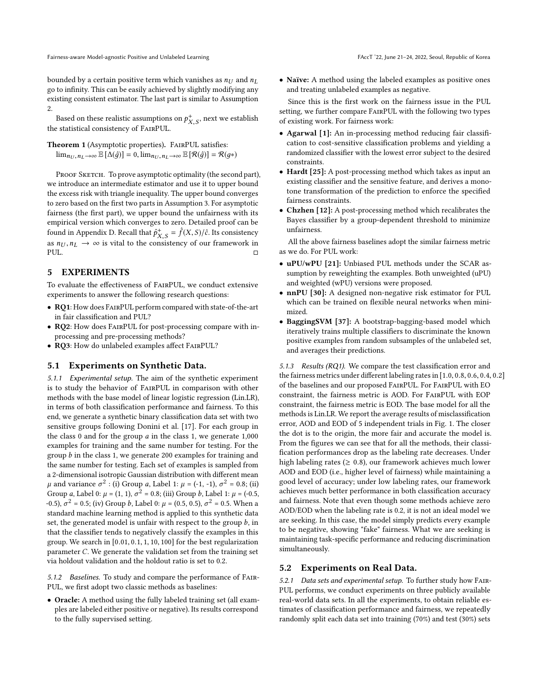bounded by a certain positive term which vanishes as  $n_U$  and  $n_L$ go to infinity. This can be easily achieved by slightly modifying any existing consistent estimator. The last part is similar to Assumption [2.](#page-2-6)

Based on these realistic assumptions on  $p_{X,S}^+$ , next we establish  $\ddotsc$ the statistical consistency of FairPUL.

Theorem 1 (Asymptotic properties). FairPUL satisfies:  $\lim_{n_U, n_L \to \infty} \mathbb{E} [\Delta(\hat{g})] = 0$ ,  $\lim_{n_U, n_L \to \infty} \mathbb{E} [\mathcal{R}(\hat{g})] = \mathcal{R}(g*)$ 

PROOF SKETCH. To prove asymptotic optimality (the second part), we introduce an intermediate estimator and use it to upper bound the excess risk with triangle inequality. The upper bound converges to zero based on the first two parts in Assumption [3.](#page-3-4) For asymptotic fairness (the first part), we upper bound the unfairness with its empirical version which converges to zero. Detailed proof can be found in Appendix [D.](#page-9-1) Recall that  $\hat{p}^+_{X,S} = \hat{f}(X,S)/\hat{c}$ . Its consistency as  $n_U, n_L \to \infty$  is vital to the consistency of our framework in put PUL. □

### <span id="page-4-0"></span>5 EXPERIMENTS

To evaluate the effectiveness of FairPUL, we conduct extensive experiments to answer the following research questions:

- RQ1: How does FairPUL perform compared with state-of-the-art in fair classification and PUL?
- RQ2: How does FairPUL for post-processing compare with inprocessing and pre-processing methods?
- RQ3: How do unlabeled examples affect FairPUL?

#### 5.1 Experiments on Synthetic Data.

5.1.1 Experimental setup. The aim of the synthetic experiment is to study the behavior of FairPUL in comparison with other methods with the base model of linear logistic regression (Lin.LR), in terms of both classification performance and fairness. To this end, we generate a synthetic binary classification data set with two sensitive groups following Donini et al. [\[17\]](#page-7-25). For each group in the class 0 and for the group  $a$  in the class 1, we generate  $1,000$ examples for training and the same number for testing. For the group b in the class 1, we generate 200 examples for training and the same number for testing. Each set of examples is sampled from a 2-dimensional isotropic Gaussian distribution with different mean μ and variance  $\sigma^2$ : (i) Group a, Label 1: μ = (-1, -1),  $\sigma^2 = 0.8$ ; (ii)<br>Group a Label 0: μ = (1, 1),  $\sigma^2 = 0.8$ ; (iii) Group h Label 1: μ = (0, 5) Group a, Label 0:  $\mu = (1, 1), \sigma^2 = 0.8$ ; (iii) Group b, Label 1:  $\mu = (-0.5, 0.6), \sigma^2 = 0.5$ ; (iv) Group b, Label 0:  $\mu = (0.5, 0.5), \sigma^2 = 0.5$ . When a -0.5),  $\sigma^2$  = 0.5; (iv) Group *b*, Label 0:  $\mu$  = (0.5, 0.5),  $\sigma^2$  = 0.5. When a standard machine learning method is applied to this synthetic data standard machine learning method is applied to this synthetic data set, the generated model is unfair with respect to the group  $b$ , in that the classifier tends to negatively classify the examples in this group. We search in [0.01, <sup>0</sup>.1, <sup>1</sup>, <sup>10</sup>, <sup>100</sup>] for the best regularization parameter C. We generate the validation set from the training set via holdout validation and the holdout ratio is set to 0.2.

<span id="page-4-2"></span>5.1.2 Baselines. To study and compare the performance of Fair-PUL, we first adopt two classic methods as baselines:

• Oracle: A method using the fully labeled training set (all examples are labeled either positive or negative). Its results correspond to the fully supervised setting.

• Naïve: A method using the labeled examples as positive ones and treating unlabeled examples as negative.

Since this is the first work on the fairness issue in the PUL setting, we further compare FairPUL with the following two types of existing work. For fairness work:

- Agarwal [\[1\]](#page-7-23): An in-processing method reducing fair classification to cost-sensitive classification problems and yielding a randomized classifier with the lowest error subject to the desired constraints.
- Hardt [\[25\]](#page-7-3): A post-processing method which takes as input an existing classifier and the sensitive feature, and derives a monotone transformation of the prediction to enforce the specified fairness constraints.
- Chzhen [\[12\]](#page-7-10): A post-processing method which recalibrates the Bayes classifier by a group-dependent threshold to minimize unfairness.

All the above fairness baselines adopt the similar fairness metric as we do. For PUL work:

- uPU/wPU [\[21\]](#page-7-14): Unbiased PUL methods under the SCAR assumption by reweighting the examples. Both unweighted (uPU) and weighted (wPU) versions were proposed.
- nnPU [\[30\]](#page-7-15): A designed non-negative risk estimator for PUL which can be trained on flexible neural networks when minimized.
- BaggingSVM [\[37\]](#page-8-19): A bootstrap-bagging-based model which iteratively trains multiple classifiers to discriminate the known positive examples from random subsamples of the unlabeled set, and averages their predictions.

5.1.3 Results (RQ1). We compare the test classification error and the fairness metrics under different labeling rates in [1.0, <sup>0</sup>.8, <sup>0</sup>.6, <sup>0</sup>.4, <sup>0</sup>.2] of the baselines and our proposed FairPUL. For FairPUL with EO constraint, the fairness metric is AOD. For FairPUL with EOP constraint, the fairness metric is EOD. The base model for all the methods is Lin.LR. We report the average results of misclassification error, AOD and EOD of 5 independent trials in Fig. [1.](#page-5-0) The closer the dot is to the origin, the more fair and accurate the model is. From the figures we can see that for all the methods, their classification performances drop as the labeling rate decreases. Under high labeling rates ( $\geq 0.8$ ), our framework achieves much lower AOD and EOD (i.e., higher level of fairness) while maintaining a good level of accuracy; under low labeling rates, our framework achieves much better performance in both classification accuracy and fairness. Note that even though some methods achieve zero AOD/EOD when the labeling rate is 0.2, it is not an ideal model we are seeking. In this case, the model simply predicts every example to be negative, showing "fake" fairness. What we are seeking is maintaining task-specific performance and reducing discrimination simultaneously.

#### <span id="page-4-1"></span>5.2 Experiments on Real Data.

5.2.1 Data sets and experimental setup. To further study how Fair-PUL performs, we conduct experiments on three publicly available real-world data sets. In all the experiments, to obtain reliable estimates of classification performance and fairness, we repeatedly randomly split each data set into training (70%) and test (30%) sets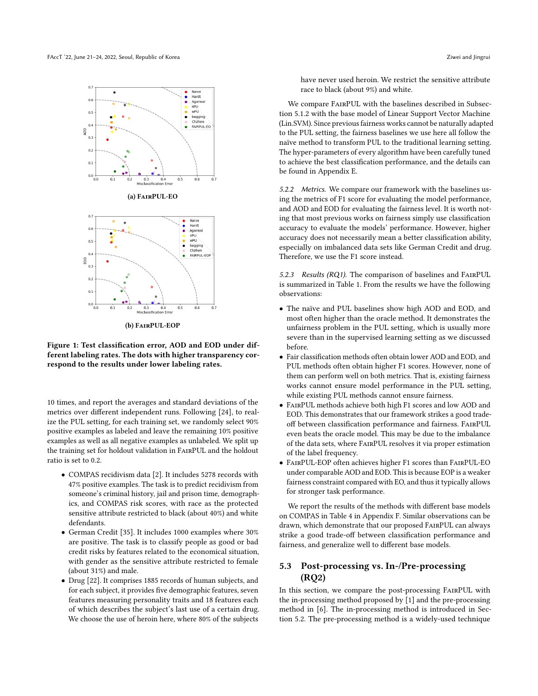<span id="page-5-0"></span>FAccT '22, June 21–24, 2022, Seoul, Republic of Korea Ziwei and Jingrui and Jingrui and Jingrui and Jingrui and Jingrui



(b) FairPUL-EOP

Figure 1: Test classification error, AOD and EOD under different labeling rates. The dots with higher transparency correspond to the results under lower labeling rates.

10 times, and report the averages and standard deviations of the metrics over different independent runs. Following [\[24\]](#page-7-29), to realize the PUL setting, for each training set, we randomly select 90% positive examples as labeled and leave the remaining 10% positive examples as well as all negative examples as unlabeled. We split up the training set for holdout validation in FairPUL and the holdout ratio is set to 0.2.

- COMPAS recidivism data [\[2\]](#page-7-30). It includes 5278 records with 47% positive examples. The task is to predict recidivism from someone's criminal history, jail and prison time, demographics, and COMPAS risk scores, with race as the protected sensitive attribute restricted to black (about 40%) and white defendants.
- German Credit [\[35\]](#page-8-20). It includes 1000 examples where 30% are positive. The task is to classify people as good or bad credit risks by features related to the economical situation, with gender as the sensitive attribute restricted to female (about 31%) and male.
- Drug [\[22\]](#page-7-31). It comprises 1885 records of human subjects, and for each subject, it provides five demographic features, seven features measuring personality traits and 18 features each of which describes the subject's last use of a certain drug. We choose the use of heroin here, where 80% of the subjects

have never used heroin. We restrict the sensitive attribute race to black (about 9%) and white.

We compare FairPUL with the baselines described in Subsection [5.1.2](#page-4-2) with the base model of Linear Support Vector Machine (Lin.SVM). Since previous fairness works cannot be naturally adapted to the PUL setting, the fairness baselines we use here all follow the naïve method to transform PUL to the traditional learning setting. The hyper-parameters of every algorithm have been carefully tuned to achieve the best classification performance, and the details can be found in Appendix [E.](#page-9-2)

5.2.2 Metrics. We compare our framework with the baselines using the metrics of F1 score for evaluating the model performance, and AOD and EOD for evaluating the fairness level. It is worth noting that most previous works on fairness simply use classification accuracy to evaluate the models' performance. However, higher accuracy does not necessarily mean a better classification ability, especially on imbalanced data sets like German Credit and drug. Therefore, we use the F1 score instead.

5.2.3 Results (RQ1). The comparison of baselines and FairPUL is summarized in Table [1.](#page-6-0) From the results we have the following observations:

- The naïve and PUL baselines show high AOD and EOD, and most often higher than the oracle method. It demonstrates the unfairness problem in the PUL setting, which is usually more severe than in the supervised learning setting as we discussed before.
- Fair classification methods often obtain lower AOD and EOD, and PUL methods often obtain higher F1 scores. However, none of them can perform well on both metrics. That is, existing fairness works cannot ensure model performance in the PUL setting, while existing PUL methods cannot ensure fairness.
- FairPUL methods achieve both high F1 scores and low AOD and EOD. This demonstrates that our framework strikes a good tradeoff between classification performance and fairness. FairPUL even beats the oracle model. This may be due to the imbalance of the data sets, where FairPUL resolves it via proper estimation of the label frequency.
- FairPUL-EOP often achieves higher F1 scores than FairPUL-EO under comparable AOD and EOD. This is because EOP is a weaker fairness constraint compared with EO, and thus it typically allows for stronger task performance.

We report the results of the methods with different base models on COMPAS in Table [4](#page-10-1) in Appendix [F.](#page-10-2) Similar observations can be drawn, which demonstrate that our proposed FairPUL can always strike a good trade-off between classification performance and fairness, and generalize well to different base models.

# 5.3 Post-processing vs. In-/Pre-processing (RQ2)

In this section, we compare the post-processing FairPUL with the in-processing method proposed by [\[1\]](#page-7-23) and the pre-processing method in [\[6\]](#page-7-24). The in-processing method is introduced in Section [5.2.](#page-4-1) The pre-processing method is a widely-used technique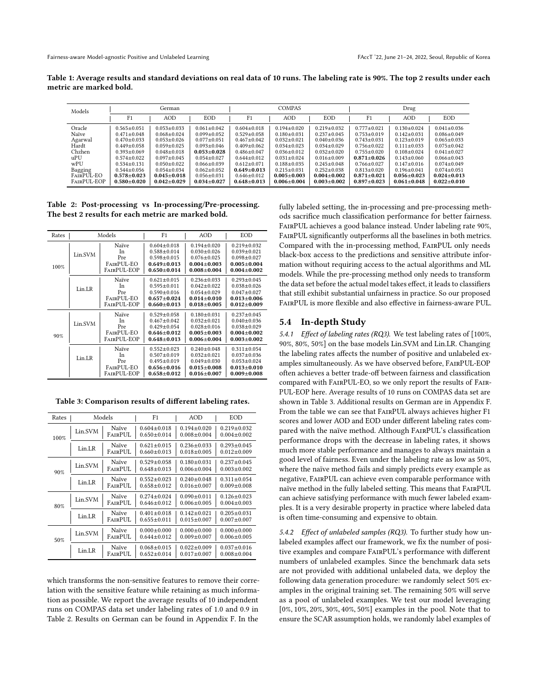<span id="page-6-0"></span>Table 1: Average results and standard deviations on real data of 10 runs. The labeling rate is 90%. The top 2 results under each metric are marked bold.

| Models      | German          |                 | <b>COMPAS</b>   |                 |                   | Drug            |                 |                   |                 |
|-------------|-----------------|-----------------|-----------------|-----------------|-------------------|-----------------|-----------------|-------------------|-----------------|
|             | F1              | <b>AOD</b>      | <b>EOD</b>      | F <sub>1</sub>  | AOD               | <b>EOD</b>      | F <sub>1</sub>  | <b>AOD</b>        | <b>EOD</b>      |
| Oracle      | $0.565 + 0.051$ | $0.053 + 0.033$ | $0.061 + 0.042$ | $0.604 + 0.018$ | $0.194 + 0.020$   | $0.219 + 0.032$ | $0.777 + 0.021$ | $0.130 + 0.024$   | $0.041 + 0.036$ |
| Naïve       | $0.471 + 0.048$ | $0.068 + 0.024$ | $0.099 + 0.052$ | $0.529 + 0.058$ | $0.180 + 0.031$   | $0.237 + 0.045$ | $0.753 + 0.019$ | $0.142 + 0.031$   | $0.086 + 0.049$ |
| Agarwal     | $0.470 + 0.033$ | $0.053 + 0.026$ | $0.077 + 0.051$ | $0.467 + 0.042$ | $0.032 + 0.021$   | $0.040 + 0.036$ | $0.743 + 0.031$ | $0.123 + 0.019$   | $0.065 + 0.033$ |
| Hardt       | $0.449 + 0.058$ | $0.059 + 0.025$ | $0.093 + 0.046$ | $0.409 + 0.062$ | $0.034 + 0.023$   | $0.034 + 0.029$ | $0.756 + 0.022$ | $0.111 + 0.033$   | $0.075 + 0.042$ |
| Chzhen      | $0.393 + 0.069$ | $0.048 + 0.018$ | $0.053 + 0.028$ | $0.486 + 0.047$ | $0.036 \pm 0.012$ | $0.032 + 0.020$ | $0.755 + 0.020$ | $0.108 + 0.024$   | $0.041 + 0.027$ |
| $u$ PU      | $0.574 + 0.022$ | $0.097 + 0.045$ | $0.054 + 0.027$ | $0.644 + 0.012$ | $0.031 \pm 0.024$ | $0.016 + 0.009$ | $0.871 + 0.026$ | $0.143 + 0.060$   | $0.066 + 0.043$ |
| wPU         | $0.534 + 0.131$ | $0.050 + 0.022$ | $0.066 + 0.039$ | $0.612 + 0.071$ | $0.188 + 0.035$   | $0.245 + 0.048$ | $0.766 + 0.027$ | $0.147 + 0.016$   | $0.074 + 0.049$ |
| Bagging     | $0.544 + 0.056$ | $0.054 + 0.034$ | $0.062 + 0.052$ | $0.649 + 0.013$ | $0.215 + 0.031$   | $0.252 + 0.038$ | $0.813 + 0.020$ | $0.196 \pm 0.041$ | $0.074 + 0.051$ |
| FAIRPUL-EO  | $0.578 + 0.023$ | $0.045 + 0.018$ | $0.056 + 0.031$ | $0.646 + 0.012$ | $0.005 + 0.003$   | $0.004 + 0.002$ | $0.871 + 0.021$ | $0.056 + 0.023$   | $0.024 + 0.013$ |
| FAIRPUL-EOP | $0.580 + 0.020$ | $0.042 + 0.029$ | $0.034 + 0.027$ | $0.648 + 0.013$ | $0.006 + 0.004$   | $0.003 + 0.002$ | $0.897 + 0.023$ | $0.061 + 0.048$   | $0.022 + 0.010$ |

<span id="page-6-1"></span>Table 2: Post-processing vs In-processing/Pre-processing. The best 2 results for each metric are marked bold.

| Rates |         | Models                                          | F1                                                                                              | AOD                                                                                             | EOD                                                                                             |
|-------|---------|-------------------------------------------------|-------------------------------------------------------------------------------------------------|-------------------------------------------------------------------------------------------------|-------------------------------------------------------------------------------------------------|
| 100%  | Lin.SVM | Naïve<br>In<br>Pre<br>FAIRPUL-EO<br>FAIRPUL-EOP | $0.604 \pm 0.018$<br>$0.588 + 0.014$<br>$0.598 + 0.015$<br>$0.649 + 0.013$<br>$0.650 \pm 0.014$ | $0.194 + 0.020$<br>$0.030 + 0.026$<br>$0.076 + 0.025$<br>$0.004 + 0.003$<br>$0.008 + 0.004$     | $0.219 + 0.032$<br>$0.039 + 0.021$<br>$0.098 + 0.027$<br>$0.005 + 0.004$<br>$0.004 \pm 0.002$   |
|       | Lin.LR  | Naïve<br>In<br>Pre<br>FAIRPUL-EO<br>FAIRPUL-EOP | $0.621 + 0.015$<br>$0.595 + 0.011$<br>$0.590 + 0.016$<br>$0.657+0.024$<br>$0.660 \pm 0.013$     | $0.236 + 0.033$<br>$0.042 + 0.022$<br>$0.054 + 0.029$<br>$0.014 + 0.010$<br>$0.018 + 0.005$     | $0.293 + 0.045$<br>$0.038 + 0.026$<br>$0.047 + 0.027$<br>$0.013 + 0.006$<br>$0.012 + 0.009$     |
| 90%   | Lin.SVM | Naïve<br>In<br>Pre<br>FAIRPUL-EO<br>FAIRPUL-EOP | $0.529 + 0.058$<br>$0.467 + 0.042$<br>$0.429 + 0.054$<br>$0.646 + 0.012$<br>$0.648 + 0.013$     | $0.180 + 0.031$<br>$0.032 + 0.021$<br>$0.028 + 0.016$<br>$0.005 \pm 0.003$<br>$0.006 + 0.004$   | $0.237 + 0.045$<br>$0.040 + 0.036$<br>$0.038 + 0.029$<br>$0.004 \pm 0.002$<br>$0.003 + 0.002$   |
|       | Lin.LR  | Naïve<br>In<br>Pre<br>FAIRPUL-EO<br>FAIRPUL-EOP | $0.552 + 0.023$<br>$0.507 + 0.019$<br>$0.495 \pm 0.019$<br>$0.656 + 0.016$<br>$0.658 \pm 0.012$ | $0.240 + 0.048$<br>$0.032 + 0.021$<br>$0.049 \pm 0.030$<br>$0.015 + 0.008$<br>$0.016 \pm 0.007$ | $0.311 + 0.054$<br>$0.037 + 0.036$<br>$0.053 \pm 0.024$<br>$0.013 + 0.010$<br>$0.009 \pm 0.008$ |

<span id="page-6-2"></span>Table 3: Comparison results of different labeling rates.

| Rates | Models  |                         | F1                                   | AOD                                  | EOD                                  |
|-------|---------|-------------------------|--------------------------------------|--------------------------------------|--------------------------------------|
| 100%  | Lin.SVM | <b>Naïve</b><br>FAIRPUL | $0.604 + 0.018$<br>$0.650 \pm 0.014$ | $0.194 + 0.020$<br>$0.008 \pm 0.004$ | $0.219 + 0.032$<br>$0.004 + 0.002$   |
|       | Lin.LR  | <b>Naïve</b><br>FAIRPUL | $0.621 + 0.015$<br>$0.660 \pm 0.013$ | $0.236 + 0.033$<br>$0.018 \pm 0.005$ | $0.293 + 0.045$<br>$0.012 + 0.009$   |
| 90%   | Lin.SVM | <b>Naïve</b><br>FAIRPUL | $0.529 + 0.058$<br>$0.648 \pm 0.013$ | $0.180 + 0.031$<br>$0.006 \pm 0.004$ | $0.237 + 0.045$<br>$0.003 \pm 0.002$ |
|       | Lin.LR  | <b>Naïve</b><br>FAIRPUL | $0.552 + 0.023$<br>$0.658 \pm 0.012$ | $0.240 + 0.048$<br>$0.016 \pm 0.007$ | $0.311 + 0.054$<br>$0.009 + 0.008$   |
| 80%   | Lin.SVM | Naïve<br>FAIRPUL        | $0.274 + 0.024$<br>$0.646 \pm 0.012$ | $0.090 + 0.011$<br>$0.006 \pm 0.005$ | $0.126 + 0.023$<br>$0.004 + 0.003$   |
|       | Lin.LR  | <b>Naïve</b><br>FAIRPUL | $0.401 + 0.018$<br>$0.655 \pm 0.011$ | $0.142 + 0.021$<br>$0.015 \pm 0.007$ | $0.205 + 0.031$<br>$0.007 \pm 0.007$ |
| 50%   | Lin.SVM | <b>Naïve</b><br>FAIRPUL | $0.000 + 0.000$<br>$0.644 \pm 0.012$ | $0.000 + 0.000$<br>$0.009 \pm 0.007$ | $0.000 + 0.000$<br>$0.006 \pm 0.005$ |
|       | Lin.LR  | Naïve<br>FAIRPUL        | $0.068 + 0.015$<br>$0.652 \pm 0.014$ | $0.022 + 0.009$<br>$0.017 \pm 0.007$ | $0.037 + 0.016$<br>$0.008 \pm 0.004$ |

which transforms the non-sensitive features to remove their correlation with the sensitive feature while retaining as much information as possible. We report the average results of 10 independent runs on COMPAS data set under labeling rates of 1.0 and 0.9 in Table [2.](#page-6-1) Results on German can be found in Appendix [F.](#page-10-2) In the

fully labeled setting, the in-processing and pre-processing methods sacrifice much classification performance for better fairness. FairPUL achieves a good balance instead. Under labeling rate 90%, FairPUL significantly outperforms all the baselines in both metrics. Compared with the in-processing method, FairPUL only needs black-box access to the predictions and sensitive attribute information without requiring access to the actual algorithms and ML models. While the pre-processing method only needs to transform the data set before the actual model takes effect, it leads to classifiers that still exhibit substantial unfairness in practice. So our proposed FairPUL is more flexible and also effective in fairness-aware PUL.

#### 5.4 In-depth Study

5.4.1 Effect of labeling rates (RQ3). We test labeling rates of [100%, 90%, 80%, 50%] on the base models Lin.SVM and Lin.LR. Changing the labeling rates affects the number of positive and unlabeled examples simultaneously. As we have observed before, FairPUL-EOP often achieves a better trade-off between fairness and classification compared with FairPUL-EO, so we only report the results of Fair-PUL-EOP here. Average results of 10 runs on COMPAS data set are shown in Table [3.](#page-6-2) Additional results on German are in Appendix [F.](#page-10-2) From the table we can see that FairPUL always achieves higher F1 scores and lower AOD and EOD under different labeling rates compared with the naïve method. Although FairPUL's classification performance drops with the decrease in labeling rates, it shows much more stable performance and manages to always maintain a good level of fairness. Even under the labeling rate as low as 50%, where the naïve method fails and simply predicts every example as negative, FairPUL can achieve even comparable performance with naïve method in the fully labeled setting. This means that FairPUL can achieve satisfying performance with much fewer labeled examples. It is a very desirable property in practice where labeled data is often time-consuming and expensive to obtain.

5.4.2 Effect of unlabeled samples (RQ3). To further study how unlabeled examples affect our framework, we fix the number of positive examples and compare FairPUL's performance with different numbers of unlabeled examples. Since the benchmark data sets are not provided with additional unlabeled data, we deploy the following data generation procedure: we randomly select 50% examples in the original training set. The remaining 50% will serve as a pool of unlabeled examples. We test our model leveraging [0%, 10%, 20%, 30%, 40%, 50%] examples in the pool. Note that to ensure the SCAR assumption holds, we randomly label examples of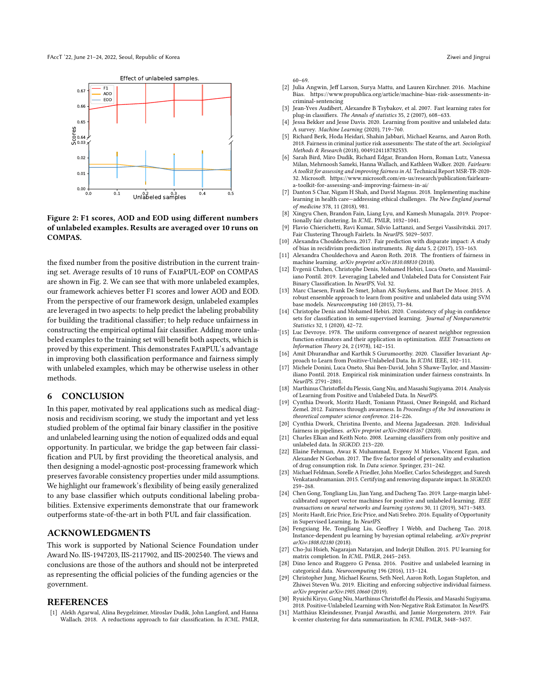<span id="page-7-32"></span>

Figure 2: F1 scores, AOD and EOD using different numbers of unlabeled examples. Results are averaged over 10 runs on COMPAS.

the fixed number from the positive distribution in the current training set. Average results of 10 runs of FairPUL-EOP on COMPAS are shown in Fig. [2.](#page-7-32) We can see that with more unlabeled examples, our framework achieves better F1 scores and lower AOD and EOD. From the perspective of our framework design, unlabeled examples are leveraged in two aspects: to help predict the labeling probability for building the traditional classifier; to help reduce unfairness in constructing the empirical optimal fair classifier. Adding more unlabeled examples to the training set will benefit both aspects, which is proved by this experiment. This demonstrates FairPUL's advantage in improving both classification performance and fairness simply with unlabeled examples, which may be otherwise useless in other methods.

### <span id="page-7-16"></span>6 CONCLUSION

In this paper, motivated by real applications such as medical diagnosis and recidivism scoring, we study the important and yet less studied problem of the optimal fair binary classifier in the positive and unlabeled learning using the notion of equalized odds and equal opportunity. In particular, we bridge the gap between fair classification and PUL by first providing the theoretical analysis, and then designing a model-agnostic post-processing framework which preserves favorable consistency properties under mild assumptions. We highlight our framework's flexibility of being easily generalized to any base classifier which outputs conditional labeling probabilities. Extensive experiments demonstrate that our framework outperforms state-of-the-art in both PUL and fair classification.

### ACKNOWLEDGMENTS

This work is supported by National Science Foundation under Award No. IIS-1947203, IIS-2117902, and IIS-2002540. The views and conclusions are those of the authors and should not be interpreted as representing the official policies of the funding agencies or the government.

### **REFERENCES**

<span id="page-7-23"></span>[1] Alekh Agarwal, Alina Beygelzimer, Miroslav Dudík, John Langford, and Hanna Wallach. 2018. A reductions approach to fair classification. In ICML. PMLR, 60–69.

- <span id="page-7-30"></span>[2] Julia Angwin, Jeff Larson, Surya Mattu, and Lauren Kirchner. 2016. Machine Bias. [https://www.propublica.org/article/machine-bias-risk-assessments-in](https://www.propublica.org/article/machine-bias-risk-assessments-in-criminal-sentencing)[criminal-sentencing](https://www.propublica.org/article/machine-bias-risk-assessments-in-criminal-sentencing)
- <span id="page-7-27"></span>[3] Jean-Yves Audibert, Alexandre B Tsybakov, et al. 2007. Fast learning rates for plug-in classifiers. The Annals of statistics 35, 2 (2007), 608–633.
- <span id="page-7-11"></span>[4] Jessa Bekker and Jesse Davis. 2020. Learning from positive and unlabeled data: A survey. Machine Learning (2020), 719–760.
- <span id="page-7-21"></span>[5] Richard Berk, Hoda Heidari, Shahin Jabbari, Michael Kearns, and Aaron Roth. 2018. Fairness in criminal justice risk assessments: The state of the art. Sociological Methods & Research (2018), 0049124118782533.
- <span id="page-7-24"></span>[6] Sarah Bird, Miro Dudík, Richard Edgar, Brandon Horn, Roman Lutz, Vanessa Milan, Mehrnoosh Sameki, Hanna Wallach, and Kathleen Walker. 2020. Fairlearn: A toolkit for assessing and improving fairness in AI. Technical Report MSR-TR-2020- 32. Microsoft. [https://www.microsoft.com/en-us/research/publication/fairlearn](https://www.microsoft.com/en-us/research/publication/fairlearn-a-toolkit-for-assessing-and-improving-fairness-in-ai/)[a-toolkit-for-assessing-and-improving-fairness-in-ai/](https://www.microsoft.com/en-us/research/publication/fairlearn-a-toolkit-for-assessing-and-improving-fairness-in-ai/)
- <span id="page-7-0"></span>Danton S Char, Nigam H Shah, and David Magnus. 2018. Implementing machine learning in health care—addressing ethical challenges. The New England journal of medicine 378, 11 (2018), 981.
- <span id="page-7-7"></span>[8] Xingyu Chen, Brandon Fain, Liang Lyu, and Kamesh Munagala. 2019. Proportionally fair clustering. In ICML. PMLR, 1032–1041.
- <span id="page-7-8"></span>[9] Flavio Chierichetti, Ravi Kumar, Silvio Lattanzi, and Sergei Vassilvitskii. 2017. Fair Clustering Through Fairlets. In NeurIPS. 5029–5037.
- <span id="page-7-2"></span>[10] Alexandra Chouldechova. 2017. Fair prediction with disparate impact: A study of bias in recidivism prediction instruments. Big data 5, 2 (2017), 153–163.
- <span id="page-7-1"></span>[11] Alexandra Chouldechova and Aaron Roth. 2018. The frontiers of fairness in machine learning. arXiv preprint arXiv:1810.08810 (2018).
- <span id="page-7-10"></span>[12] Evgenii Chzhen, Christophe Denis, Mohamed Hebiri, Luca Oneto, and Massimiliano Pontil. 2019. Leveraging Labeled and Unlabeled Data for Consistent Fair Binary Classification. In NeurIPS, Vol. 32.
- <span id="page-7-19"></span>[13] Marc Claesen, Frank De Smet, Johan AK Suykens, and Bart De Moor. 2015. A robust ensemble approach to learn from positive and unlabeled data using SVM base models. Neurocomputing 160 (2015), 73–84.
- <span id="page-7-26"></span>[14] Christophe Denis and Mohamed Hebiri. 2020. Consistency of plug-in confidence sets for classification in semi-supervised learning. Journal of Nonparametric Statistics 32, 1 (2020), 42–72.
- <span id="page-7-28"></span>[15] Luc Devroye. 1978. The uniform convergence of nearest neighbor regression function estimators and their application in optimization. IEEE Transactions on Information Theory 24, 2 (1978), 142–151.
- <span id="page-7-12"></span>[16] Amit Dhurandhar and Karthik S Gurumoorthy. 2020. Classifier Invariant Approach to Learn from Positive-Unlabeled Data. In ICDM. IEEE, 102–111.
- <span id="page-7-25"></span>[17] Michele Donini, Luca Oneto, Shai Ben-David, John S Shawe-Taylor, and Massimiliano Pontil. 2018. Empirical risk minimization under fairness constraints. In NeurIPS. 2791–2801.
- <span id="page-7-13"></span>[18] Marthinus Christoffel du Plessis, Gang Niu, and Masashi Sugiyama. 2014. Analysis of Learning from Positive and Unlabeled Data. In NeurIPS.
- <span id="page-7-4"></span>[19] Cynthia Dwork, Moritz Hardt, Toniann Pitassi, Omer Reingold, and Richard Zemel. 2012. Fairness through awareness. In Proceedings of the 3rd innovations in theoretical computer science conference. 214–226.
- <span id="page-7-5"></span>[20] Cynthia Dwork, Christina Ilvento, and Meena Jagadeesan. 2020. Individual fairness in pipelines. arXiv preprint arXiv:2004.05167 (2020).
- <span id="page-7-14"></span>[21] Charles Elkan and Keith Noto. 2008. Learning classifiers from only positive and unlabeled data. In SIGKDD. 213–220.
- <span id="page-7-31"></span>[22] Elaine Fehrman, Awaz K Muhammad, Evgeny M Mirkes, Vincent Egan, and Alexander N Gorban. 2017. The five factor model of personality and evaluation of drug consumption risk. In Data science. Springer, 231–242.
- <span id="page-7-22"></span>[23] Michael Feldman, Sorelle A Friedler, John Moeller, Carlos Scheidegger, and Suresh Venkatasubramanian. 2015. Certifying and removing disparate impact. In SIGKDD. 259–268.
- <span id="page-7-29"></span>[24] Chen Gong, Tongliang Liu, Jian Yang, and Dacheng Tao. 2019. Large-margin labelcalibrated support vector machines for positive and unlabeled learning. IEEE transactions on neural networks and learning systems 30, 11 (2019), 3471–3483.
- <span id="page-7-3"></span>Moritz Hardt, Eric Price, Eric Price, and Nati Srebro. 2016. Equality of Opportunity in Supervised Learning. In NeurIPS.
- <span id="page-7-17"></span>[26] Fengxiang He, Tongliang Liu, Geoffrey I Webb, and Dacheng Tao. 2018. Instance-dependent pu learning by bayesian optimal relabeling. arXiv preprint arXiv:1808.02180 (2018).
- <span id="page-7-20"></span>[27] Cho-Jui Hsieh, Nagarajan Natarajan, and Inderjit Dhillon. 2015. PU learning for matrix completion. In ICML. PMLR, 2445–2453.
- <span id="page-7-18"></span>[28] Dino Ienco and Ruggero G Pensa. 2016. Positive and unlabeled learning in categorical data. Neurocomputing 196 (2016), 113–124.
- <span id="page-7-6"></span>[29] Christopher Jung, Michael Kearns, Seth Neel, Aaron Roth, Logan Stapleton, and Zhiwei Steven Wu. 2019. Eliciting and enforcing subjective individual fairness. arXiv preprint arXiv:1905.10660 (2019).
- <span id="page-7-15"></span>[30] Ryuichi Kiryo, Gang Niu, Marthinus Christoffel du Plessis, and Masashi Sugiyama. 2018. Positive-Unlabeled Learning with Non-Negative Risk Estimator. In NeurIPS.
- <span id="page-7-9"></span>[31] Matthäus Kleindessner, Pranjal Awasthi, and Jamie Morgenstern. 2019. Fair k-center clustering for data summarization. In ICML. PMLR, 3448–3457.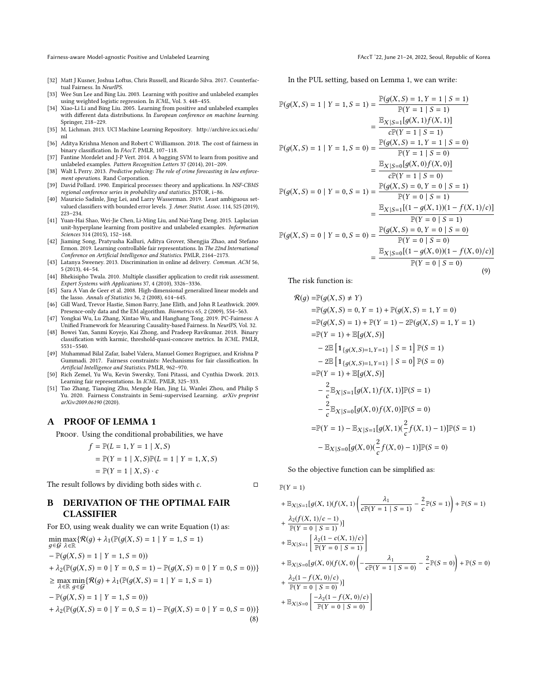Fairness-aware Model-agnostic Positive and Unlabeled Learning FACCT (22, June 21–24, 2022, Seoul, Republic of Korea

- <span id="page-8-4"></span>[32] Matt J Kusner, Joshua Loftus, Chris Russell, and Ricardo Silva. 2017. Counterfactual Fairness. In NeurIPS.
- <span id="page-8-13"></span>[33] Wee Sun Lee and Bing Liu. 2003. Learning with positive and unlabeled examples using weighted logistic regression. In ICML, Vol. 3. 448–455.
- <span id="page-8-9"></span>[34] Xiao-Li Li and Bing Liu. 2005. Learning from positive and unlabeled examples with different data distributions. In European conference on machine learning. Springer, 218–229.
- <span id="page-8-20"></span>[35] M. Lichman. 2013. UCI Machine Learning Repository. [http://archive.ics.uci.edu/](http://archive.ics.uci.edu/ml) [ml](http://archive.ics.uci.edu/ml)
- <span id="page-8-12"></span>[36] Aditya Krishna Menon and Robert C Williamson. 2018. The cost of fairness in binary classification. In FAccT. PMLR, 107-118.
- <span id="page-8-19"></span>[37] Fantine Mordelet and J-P Vert. 2014. A bagging SVM to learn from positive and unlabeled examples. Pattern Recognition Letters 37 (2014), 201–209.
- <span id="page-8-1"></span>[38] Walt L Perry. 2013. Predictive policing: The role of crime forecasting in law enforcement operations. Rand Corporation.
- <span id="page-8-23"></span>[39] David Pollard. 1990. Empirical processes: theory and applications. In NSF-CBMS regional conference series in probability and statistics. JSTOR, i–86.
- <span id="page-8-16"></span>[40] Mauricio Sadinle, Jing Lei, and Larry Wasserman. 2019. Least ambiguous setvalued classifiers with bounded error levels. J. Amer. Statist. Assoc. 114, 525 (2019), 223–234.
- <span id="page-8-11"></span>[41] Yuan-Hai Shao, Wei-Jie Chen, Li-Ming Liu, and Nai-Yang Deng. 2015. Laplacian unit-hyperplane learning from positive and unlabeled examples. Information Sciences 314 (2015), 152–168.
- <span id="page-8-6"></span>[42] Jiaming Song, Pratyusha Kalluri, Aditya Grover, Shengjia Zhao, and Stefano Ermon. 2019. Learning controllable fair representations. In The 22nd International Conference on Artificial Intelligence and Statistics. PMLR, 2164–2173.
- <span id="page-8-2"></span>[43] Latanya Sweeney. 2013. Discrimination in online ad delivery. Commun. ACM 56, 5 (2013), 44–54.
- <span id="page-8-0"></span>[44] Bhekisipho Twala. 2010. Multiple classifier application to credit risk assessment. Expert Systems with Applications 37, 4 (2010), 3326–3336.
- <span id="page-8-18"></span>[45] Sara A Van de Geer et al. 2008. High-dimensional generalized linear models and the lasso. Annals of Statistics 36, 2 (2008), 614–645.
- <span id="page-8-10"></span>[46] Gill Ward, Trevor Hastie, Simon Barry, Jane Elith, and John R Leathwick. 2009. Presence-only data and the EM algorithm. Biometrics 65, 2 (2009), 554–563.
- <span id="page-8-5"></span>[47] Yongkai Wu, Lu Zhang, Xintao Wu, and Hanghang Tong. 2019. PC-Fairness: A Unified Framework for Measuring Causality-based Fairness. In NeurIPS, Vol. 32.
- <span id="page-8-17"></span>[48] Bowei Yan, Sanmi Koyejo, Kai Zhong, and Pradeep Ravikumar. 2018. Binary classification with karmic, threshold-quasi-concave metrics. In ICML. PMLR, 5531–5540.
- <span id="page-8-3"></span>[49] Muhammad Bilal Zafar, Isabel Valera, Manuel Gomez Rogriguez, and Krishna P Gummadi. 2017. Fairness constraints: Mechanisms for fair classification. In Artificial Intelligence and Statistics. PMLR, 962–970.
- <span id="page-8-7"></span>[50] Rich Zemel, Yu Wu, Kevin Swersky, Toni Pitassi, and Cynthia Dwork. 2013. Learning fair representations. In ICML. PMLR, 325–333.
- <span id="page-8-8"></span>[51] Tao Zhang, Tianqing Zhu, Mengde Han, Jing Li, Wanlei Zhou, and Philip S Yu. 2020. Fairness Constraints in Semi-supervised Learning. arXiv preprint arXiv:2009.06190 (2020).

#### <span id="page-8-14"></span>A PROOF OF LEMMA 1

PROOF. Using the conditional probabilities, we have

$$
f = \mathbb{P}(L = 1, Y = 1 | X, S)
$$
  
=  $\mathbb{P}(Y = 1 | X, S)\mathbb{P}(L = 1 | Y = 1, X, S)$   
=  $\mathbb{P}(Y = 1 | X, S) \cdot c$ 

The result follows by dividing both sides with  $c$ .  $\Box$ 

## <span id="page-8-15"></span>B DERIVATION OF THE OPTIMAL FAIR CLASSIFIER

For EO, using weak duality we can write Equation [\(1\)](#page-2-3) as:

<span id="page-8-22"></span>
$$
\min_{g \in \mathcal{G}} \max_{\lambda \in \mathbb{R}} \{ \mathcal{R}(g) + \lambda_1(\mathbb{P}(g(X, S) = 1 \mid Y = 1, S = 1) - \mathbb{P}(g(X, S) = 1 \mid Y = 1, S = 0))
$$
\n
$$
+ \lambda_2(\mathbb{P}(g(X, S) = 0 \mid Y = 0, S = 1) - \mathbb{P}(g(X, S) = 0 \mid Y = 0, S = 0)) \}
$$
\n
$$
\geq \max_{\lambda \in \mathbb{R}} \min_{g \in \mathcal{G}} \{ \mathcal{R}(g) + \lambda_1(\mathbb{P}(g(X, S) = 1 \mid Y = 1, S = 1) - \mathbb{P}(g(X, S) = 1 \mid Y = 1, S = 0))
$$
\n
$$
+ \lambda_2(\mathbb{P}(g(X, S) = 0 \mid Y = 0, S = 1) - \mathbb{P}(g(X, S) = 0 \mid Y = 0, S = 0)) \}
$$
\n(8)

In the PUL setting, based on Lemma [1,](#page-2-2) we can write:

<span id="page-8-21"></span>
$$
\mathbb{P}(g(X, S) = 1 | Y = 1, S = 1) = \frac{\mathbb{P}(g(X, S) = 1, Y = 1 | S = 1)}{\mathbb{P}(Y = 1 | S = 1)}
$$
  
\n
$$
= \frac{\mathbb{E}_{X|S=1}[g(X, 1)f(X, 1)]}{c\mathbb{P}(Y = 1 | S = 1)}
$$
  
\n
$$
\mathbb{P}(g(X, S) = 1 | Y = 1, S = 0) = \frac{\mathbb{P}(g(X, S) = 1, Y = 1 | S = 0)}{\mathbb{P}(Y = 1 | S = 0)}
$$
  
\n
$$
= \frac{\mathbb{E}_{X|S=0}[g(X, 0)f(X, 0)]}{c\mathbb{P}(Y = 1 | S = 0)}
$$
  
\n
$$
\mathbb{P}(g(X, S) = 0 | Y = 0, S = 1) = \frac{\mathbb{P}(g(X, S) = 0, Y = 0 | S = 1)}{\mathbb{P}(Y = 0 | S = 1)}
$$
  
\n
$$
= \frac{\mathbb{E}_{X|S=1}[(1 - g(X, 1))(1 - f(X, 1)/c)]}{\mathbb{P}(Y = 0 | S = 1)}
$$
  
\n
$$
\mathbb{P}(g(X, S) = 0 | Y = 0, S = 0) = \frac{\mathbb{P}(g(X, S) = 0, Y = 0 | S = 0)}{\mathbb{P}(Y = 0 | S = 0)}
$$
  
\n
$$
= \frac{\mathbb{E}_{X|S=0}[(1 - g(X, 0))(1 - f(X, 0)/c)]}{\mathbb{P}(Y = 0 | S = 0)}
$$
  
\n
$$
= \frac{\mathbb{E}_{X|S=0}[(1 - g(X, 0))(1 - f(X, 0)/c)]}{\mathbb{P}(Y = 0 | S = 0)}
$$
  
\n(9)

The risk function is:

$$
\mathcal{R}(g) = \mathbb{P}(g(X, S) \neq Y)
$$
  
\n
$$
= \mathbb{P}(g(X, S) = 0, Y = 1) + \mathbb{P}(g(X, S) = 1, Y = 0)
$$
  
\n
$$
= \mathbb{P}(g(X, S) = 1) + \mathbb{P}(Y = 1) - 2\mathbb{P}(g(X, S) = 1, Y = 1)
$$
  
\n
$$
= \mathbb{P}(Y = 1) + \mathbb{E}[g(X, S)]
$$
  
\n
$$
- 2\mathbb{E}[1_{\{g(X, S) = 1, Y = 1\}} | S = 1] \mathbb{P}(S = 1)
$$
  
\n
$$
- 2\mathbb{E}[1_{\{g(X, S) = 1, Y = 1\}} | S = 0] \mathbb{P}(S = 0)
$$
  
\n
$$
= \mathbb{P}(Y = 1) + \mathbb{E}[g(X, S)]
$$
  
\n
$$
- \frac{2}{c} \mathbb{E}_{X|S=1}[g(X, 1)f(X, 1)] \mathbb{P}(S = 1)
$$
  
\n
$$
- \frac{2}{c} \mathbb{E}_{X|S=0}[g(X, 0)f(X, 0)] \mathbb{P}(S = 0)
$$
  
\n
$$
= \mathbb{P}(Y = 1) - \mathbb{E}_{X|S=1}[g(X, 1)(\frac{2}{c}f(X, 1) - 1)] \mathbb{P}(S = 1)
$$
  
\n
$$
- \mathbb{E}_{X|S=0}[g(X, 0)(\frac{2}{c}f(X, 0) - 1)] \mathbb{P}(S = 0)
$$

So the objective function can be simplified as:

$$
\mathbb{P}(Y=1)
$$

+ 
$$
\mathbb{E}_{X|S=1}[g(X, 1)(f(X, 1)\left(\frac{\lambda_1}{c\mathbb{P}(Y=1 | S=1)} - \frac{2}{c}\mathbb{P}(S=1)\right) + \mathbb{P}(S=1)
$$
  
+  $\frac{\lambda_2(f(X, 1)/c - 1)}{\mathbb{P}(Y=0 | S=1)}]$   
+  $\mathbb{E}_{X|S=1}\left[\frac{\lambda_2(1 - c(X, 1)/c)}{\mathbb{P}(Y=0 | S=1)}\right]$   
+  $\mathbb{E}_{X|S=0}[g(X, 0)(f(X, 0)\left(-\frac{\lambda_1}{c\mathbb{P}(Y=1 | S=0)} - \frac{2}{c}\mathbb{P}(S=0)\right) + \mathbb{P}(S=0)$   
+  $\frac{\lambda_2(1 - f(X, 0)/c)}{\mathbb{P}(Y=0 | S=0)}]$   
+  $\mathbb{E}_{X|S=0}\left[\frac{-\lambda_2(1 - f(X, 0)/c)}{\mathbb{P}(Y=0 | S=0)}\right]$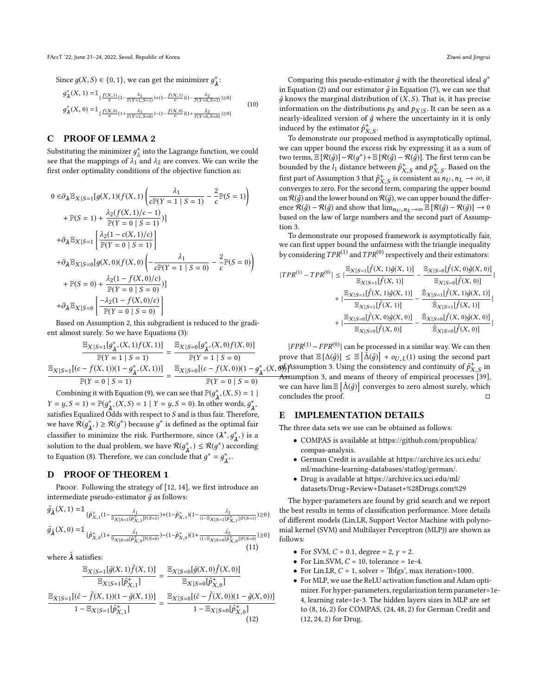Since  $g(X, S) \in \{0, 1\}$ , we can get the minimizer  $g^*_{\lambda}$ :

$$
g_{\lambda}^{*}(X, 1) = \mathbb{1}_{\{\frac{f(X, 1)}{c}(1-\frac{\lambda_{1}}{\mathbb{P}(Y=1, S=1)})+(1-\frac{f(X, 1)}{c})(1-\frac{\lambda_{2}}{\mathbb{P}(Y=0, S=1)})\geq 0\}}g_{\lambda}^{*}(X, 0) = \mathbb{1}_{\{\frac{f(X, 0)}{c}(1+\frac{\lambda_{1}}{\mathbb{P}(Y=1, S=0)})-(1-\frac{f(X, 0)}{c})(1+\frac{\lambda_{2}}{\mathbb{P}(Y=0, S=0)})\geq 0\}}(10)
$$

### <span id="page-9-0"></span>C PROOF OF LEMMA 2

Substituting the minimizer  $g_A^*$  into the Lagrange function, we could<br>see that the mannings of  $\lambda_1$  and  $\lambda_2$  are convex. We can write the see that the mappings of  $\lambda_1$  and  $\lambda_2$  are convex. We can write the first order optimality conditions of the objective function as: first order optimality conditions of the objective function as:

$$
0 \in \partial_{\lambda} \mathbb{E}_{X|S=1}[g(X, 1)(f(X, 1)) \left( \frac{\lambda_{1}}{\sum_{i} (Y=1 | S=1)} - \frac{2}{c} \mathbb{P}(S=1) \right) + \mathbb{P}(S=1) + \frac{\lambda_{2}(f(X, 1)/c-1)}{\mathbb{P}(Y=0 | S=1)} \right]+ \partial_{\lambda} \mathbb{E}_{X|S=1} \left[ \frac{\lambda_{2}(1 - c(X, 1)/c)}{\mathbb{P}(Y=0 | S=1)} \right] + \partial_{\lambda} \mathbb{E}_{X|S=0}[g(X, 0)(f(X, 0)) \left( -\frac{\lambda_{1}}{c\mathbb{P}(Y=1 | S=0)} - \frac{2}{c} \mathbb{P}(S=0) \right) + \mathbb{P}(S=0) + \frac{\lambda_{2}(1 - f(X, 0)/c)}{\mathbb{P}(Y=0 | S=0)} \right]+ \partial_{\lambda} \mathbb{E}_{X|S=0} \left[ \frac{-\lambda_{2}(1 - f(X, 0)/c)}{\mathbb{P}(Y=0 | S=0)} \right] Based on Assumption 2, this subgradient is reduced to the gradi-
$$

ent almost surely. So we have Equations [\(3\)](#page-2-5):

$$
\frac{\mathbb{E}_{X|S=1}[g_{\lambda^*}^*(X,1)f(X,1)]}{\mathbb{P}(Y=1 | S=1)} = \frac{\mathbb{E}_{X|S=0}[g_{\lambda^*}^*(X,0)f(X,0)]}{\mathbb{P}(Y=1 | S=0)}
$$

$$
\frac{\mathbb{E}_{X|S=1}[(c-f(X,1))(1-g_{\lambda^*}^*(X,1))]}{\mathbb{P}(Y=0 | S=1)} = \frac{\mathbb{E}_{X|S=0}[(c-f(X,0))(1-g_{\lambda^*}^*(X,0))]}{\mathbb{P}(Y=0 | S=0)}
$$

Combining it with Equation [\(9\)](#page-8-21), we can see that  $\mathbb{P}(g_{\lambda}^*(X, S) = 1 \mid X - \mathbb{P}(x^*, (Y, S) - 1 \mid Y - \mathbb{P}(x^*, S - \mathbb{P}))$  In other words  $Y = y, S = 1$ ) =  $\mathbb{P}(g_{\lambda^*}^*(X, S) = 1 | Y = y, S = 0)$ . In other words,  $g_{\lambda^*}^*$ satisfies Equalized Odds with respect to S and is thus fair. Therefore,<br>we have  $\mathcal{R}(a^*) > \mathcal{R}(a^*)$  because  $a^*$  is defined as the optimal fair we have  $\mathcal{R}(g_{\lambda^*}^*) \ge \mathcal{R}(g^*)$  because  $g^*$  is defined as the optimal fair classifier to minimize the risk. Furthermore, since  $(\lambda^*, g_{\lambda^*}^*)$  is a solution to the dual mobilem we have  $\mathcal{B}(s^*) \leq \mathcal{B}(s^*)$  occanting solution to the dual problem, we have  $\mathcal{R}(g_{\lambda^*}^*) \leq \mathcal{R}(g^*)$  according<br>to Equation (8) Therefore we are applied that  $e^* = e^*$ to Equation [\(8\)](#page-8-22). Therefore, we can conclude that  $g^* = g^*_{\lambda^*}.$ 

### <span id="page-9-1"></span>D PROOF OF THEOREM 1

PROOF. Following the strategy of [\[12,](#page-7-10) [14\]](#page-7-26), we first introduce an intermediate pseudo-estimator  $\tilde{g}$  as follows:

$$
\tilde{g}_{\tilde{\lambda}}(X,1) = \mathbb{I}_{\{\hat{P}_{X,1}^+(1-\frac{\hat{\lambda_1}}{\mathbb{E}_{X|S=1}[\hat{P}_{X,1}^+]\mathbb{P}(S=1)}) + (1-\hat{P}_{X,1}^*)(1-\frac{\hat{\lambda_2}}{(1-\mathbb{E}_{X|S=1}[\hat{P}_{X,1}^+])\mathbb{P}(S=1)}) \ge 0\}}
$$
\n
$$
\tilde{g}_{\tilde{\lambda}}(X,0) = \mathbb{I}_{\{\hat{P}_{X,0}^+(1+\frac{\hat{\lambda_1}}{\mathbb{E}_{X|S=0}[\hat{P}_{X,0}^+]\mathbb{P}(S=0)}) - (1-\hat{P}_{X,0}^*)(1+\frac{\hat{\lambda_2}}{(1-\mathbb{E}_{X|S=0}[\hat{P}_{X,0}^+])\mathbb{P}(S=0)}) \ge 0\}}
$$
\n(11)

where  $\lambda$  satisfies:

$$
\frac{\mathbb{E}_{X|S=1}[\tilde{g}(X,1)\hat{f}(X,1)]}{\mathbb{E}_{X|S=1}[\hat{p}_{X,1}^+] } = \frac{\mathbb{E}_{X|S=0}[\tilde{g}(X,0)\hat{f}(X,0)]}{\mathbb{E}_{X|S=0}[\hat{p}_{X,0}^+]} \n\frac{\mathbb{E}_{X|S=1}[(\hat{c} - \hat{f}(X,1))(1 - \tilde{g}(X,1))] }{1 - \mathbb{E}_{X|S=1}[\hat{p}_{X,1}^+] } = \frac{\mathbb{E}_{X|S=0}[(\hat{c} - \hat{f}(X,0))(1 - \tilde{g}(X,0))]}{1 - \mathbb{E}_{X|S=0}[\hat{p}_{X,0}^+] } \n\tag{12}
$$

Comparing this pseudo-estimator  $\tilde{g}$  with the theoretical ideal  $g^*$ <br>Fountion (2) and our estimator  $\tilde{g}$  in Equation (7), we can see that in Equation [\(2\)](#page-2-4) and our estimator  $\hat{q}$  in Equation [\(7\)](#page-3-2), we can see that  $\tilde{g}$  knows the marginal distribution of  $(X, S)$ . That is, it has precise information on the distributions  $p_S$  and  $p_{X|S}$ . It can be seen as a nearly-idealized version of  $\hat{a}$  where the uncertainty in it is only nearly-idealized version of  $\hat{q}$  where the uncertainty in it is only induced by the estimator  $\hat{p}_{X, S}^+$ .<br>To demonstrate our propose

To demonstrate our proposed method is asymptotically optimal, we can upper bound the excess risk by expressing it as a sum of two terms,  $\mathbb{E} [\mathcal{R}(\tilde{g})] - \mathcal{R}(\tilde{g}) + \mathbb{E} [\mathcal{R}(\tilde{g})] - \mathcal{R}(\tilde{g})]$ . The first term can be bounded by the  $l_1$  distance between  $\hat{p}_{X,S}^+$  and  $p_{X,S}^+$ . Based on the first part of Assumption [3](#page-3-4) that  $\hat{p}_{X, S}^+$  is consistent as  $n_U, n_L \to \infty$ , it<br>converges to zero. For the second term comparing the upper bound converges to zero. For the second term, comparing the upper bound on  $\mathcal{R}(\hat{g})$  and the lower bound on  $\mathcal{R}(\tilde{g})$ , we can upper bound the difference  $\mathcal{R}(\hat{g}) - \mathcal{R}(\tilde{g})$  and show that  $\lim_{n_U, n_L \to \infty} \mathbb{E} [\mathcal{R}(\hat{g}) - \mathcal{R}(\tilde{g})] \to 0$ based on the law of large numbers and the second part of Assumption [3.](#page-3-4)

To demonstrate our proposed framework is asymptotically fair, we can first upper bound the unfairness with the triangle inequality by considering  $TPR^{(1)}$  and  $TPR^{(0)}$  respectively and their estimators:

$$
|TPR^{(1)} - TPR^{(0)}| \leq |\frac{\mathbb{E}_{X|S=1}[\hat{f}(X, 1)\hat{g}(X, 1)]}{\mathbb{E}_{X|S=1}[\hat{f}(X, 1)]} - \frac{\mathbb{E}_{X|S=0}[\hat{f}(X, 0)\hat{g}(X, 0)]}{\mathbb{E}_{X|S=0}[\hat{f}(X, 0)]} + |\frac{\mathbb{E}_{X|S=1}[\hat{f}(X, 1)\hat{g}(X, 1)]}{\mathbb{E}_{X|S=1}[\hat{f}(X, 1)]} - \frac{\hat{\mathbb{E}}_{X|S=1}[\hat{f}(X, 1)\hat{g}(X, 1)]}{\hat{\mathbb{E}}_{X|S=1}[\hat{f}(X, 1)]} + |\frac{\mathbb{E}_{X|S=0}[\hat{f}(X, 0)\hat{g}(X, 0)]}{\mathbb{E}_{X|S=0}[\hat{f}(X, 0)]} - \frac{\hat{\mathbb{E}}_{X|S=0}[\hat{f}(X, 0)\hat{g}(X, 0)]}{\hat{\mathbb{E}}_{X|S=0}[\hat{f}(X, 0)]} + |\frac{\hat{\mathbb{E}}_{X|S=0}[\hat{f}(X, 0)\hat{g}(X, 0)]}{\hat{\mathbb{E}}_{X|S=0}[\hat{f}(X, 0)]} + \frac{\hat{\mathbb{E}}_{X|S=0}[\hat{f}(X, 0)\hat{g}(X, 0)]}{\hat{\mathbb{E}}_{X|S=0}[\hat{f}(X, 0)]} + \frac{\hat{\mathbb{E}}_{X|S=0}[\hat{f}(X, 0)\hat{g}(X, 0)]}{\hat{\mathbb{E}}_{X|S=0}[\hat{f}(X, 0)]}
$$

∗ (*X*, **o**∱ Assumption [3.](#page-3-4) Using the consistency and continuity of  $\hat{p}_{X,S}^{+}$  in  $\rightarrow$  Assumption 3, and means of theory of empirical processes [39]  $|FPR^{(1)} - FPR^{(0)}|$  can be processed in a similar way. We can then<br>we that  $\mathbb{E}[\Lambda(\hat{a})] \leq \mathbb{E}[\hat{\Lambda}(\hat{a})] + \alpha x x(1)$  using the second part prove that  $\mathbb{E}[\Delta(\hat{g})] \leq \mathbb{E}[\hat{\Delta}(\hat{g})] + o_{U,L}(1)$  using the second part of  $\hat{\sigma}^+$  in  $\hat{\sigma}$ Assumption [3,](#page-3-4) and means of theory of empirical processes [\[39\]](#page-8-23), we can have  $\lim_{\delta \to 0} \mathbb{E} [\hat{\Delta}(\hat{g})]$  converges to zero almost surely, which concludes the proof.

### <span id="page-9-2"></span>E IMPLEMENTATION DETAILS

The three data sets we use can be obtained as follows:

- COMPAS is available at https://github.com/propublica/ compas-analysis.
- German Credit is available at https://archive.ics.uci.edu/ ml/machine-learning-databases/statlog/german/.
- Drug is available at https://archive.ics.uci.edu/ml/ datasets/Drug+Review+Dataset+%28Drugs.com%29

The hyper-parameters are found by grid search and we report the best results in terms of classification performance. More details of different models (Lin.LR, Support Vector Machine with polynomial kernel (SVM) and Multilayer Perceptron (MLP)) are shown as follows:

- For SVM,  $C = 0.1$ , degree = 2,  $\gamma = 2$ .
- For Lin.SVM,  $C = 10$ , tolerance = 1e-4.
- For Lin.LR,  $C = 1$ , solver = 'lbfgs', max iteration=1000.
- For MLP, we use the ReLU activation function and Adam optimizer. For hyper-parameters, regularization term parameter=1e-4, learning rate=1e-3. The hidden layers sizes in MLP are set to (8, <sup>16</sup>, <sup>2</sup>) for COMPAS, (24, <sup>48</sup>, <sup>2</sup>) for German Credit and (12, <sup>24</sup>, <sup>2</sup>) for Drug.